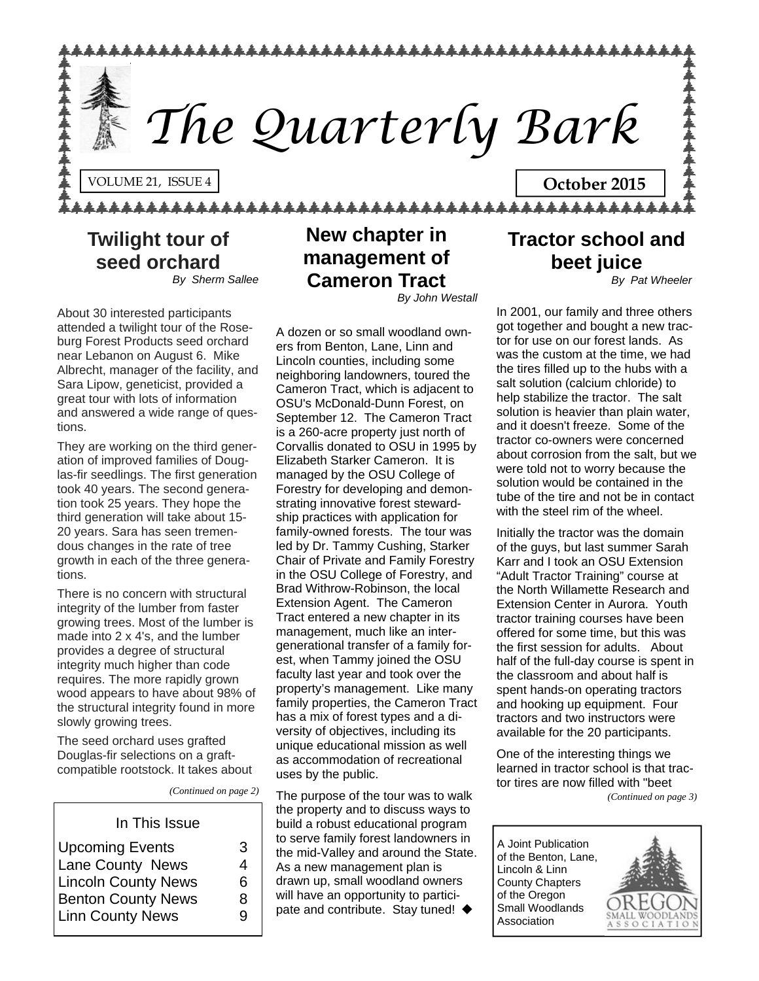

**Twilight tour of seed orchard** *By Sherm Sallee* 

About 30 interested participants attended a twilight tour of the Roseburg Forest Products seed orchard near Lebanon on August 6. Mike Albrecht, manager of the facility, and Sara Lipow, geneticist, provided a great tour with lots of information and answered a wide range of questions.

They are working on the third generation of improved families of Douglas-fir seedlings. The first generation took 40 years. The second generation took 25 years. They hope the third generation will take about 15- 20 years. Sara has seen tremendous changes in the rate of tree growth in each of the three generations.

There is no concern with structural integrity of the lumber from faster growing trees. Most of the lumber is made into 2 x 4's, and the lumber provides a degree of structural integrity much higher than code requires. The more rapidly grown wood appears to have about 98% of the structural integrity found in more slowly growing trees.

The seed orchard uses grafted Douglas-fir selections on a graftcompatible rootstock. It takes about

*(Continued on page 2)* 

### In This Issue Upcoming Events 3 Lane County News 4 Lincoln County News 6 Benton County News 8 Linn County News 9

**New chapter in management of Cameron Tract** *By John Westall* 

A dozen or so small woodland owners from Benton, Lane, Linn and Lincoln counties, including some neighboring landowners, toured the Cameron Tract, which is adjacent to OSU's McDonald-Dunn Forest, on September 12. The Cameron Tract is a 260-acre property just north of Corvallis donated to OSU in 1995 by Elizabeth Starker Cameron. It is managed by the OSU College of Forestry for developing and demonstrating innovative forest stewardship practices with application for family-owned forests. The tour was led by Dr. Tammy Cushing, Starker Chair of Private and Family Forestry in the OSU College of Forestry, and Brad Withrow-Robinson, the local Extension Agent. The Cameron Tract entered a new chapter in its management, much like an intergenerational transfer of a family forest, when Tammy joined the OSU faculty last year and took over the property's management. Like many family properties, the Cameron Tract has a mix of forest types and a diversity of objectives, including its unique educational mission as well as accommodation of recreational uses by the public.

The purpose of the tour was to walk the property and to discuss ways to build a robust educational program to serve family forest landowners in the mid-Valley and around the State. As a new management plan is drawn up, small woodland owners will have an opportunity to participate and contribute. Stay tuned! ♦

### **Tractor school and beet juice**

*By Pat Wheeler*

In 2001, our family and three others got together and bought a new tractor for use on our forest lands. As was the custom at the time, we had the tires filled up to the hubs with a salt solution (calcium chloride) to help stabilize the tractor. The salt solution is heavier than plain water, and it doesn't freeze. Some of the tractor co-owners were concerned about corrosion from the salt, but we were told not to worry because the solution would be contained in the tube of the tire and not be in contact with the steel rim of the wheel.

Initially the tractor was the domain of the guys, but last summer Sarah Karr and I took an OSU Extension "Adult Tractor Training" course at the North Willamette Research and Extension Center in Aurora. Youth tractor training courses have been offered for some time, but this was the first session for adults. About half of the full-day course is spent in the classroom and about half is spent hands-on operating tractors and hooking up equipment. Four tractors and two instructors were available for the 20 participants.

One of the interesting things we learned in tractor school is that tractor tires are now filled with "beet

*(Continued on page 3)* 

A Joint Publication of the Benton, Lane, Lincoln & Linn County Chapters of the Oregon Small Woodlands Association

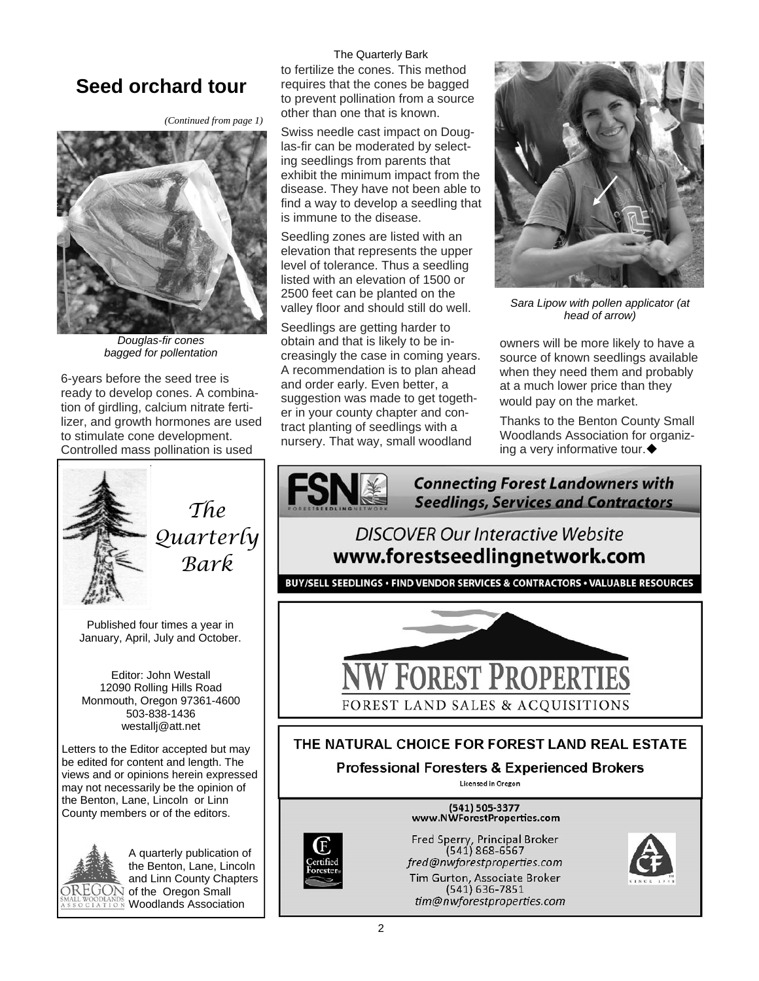### **Seed orchard tour**

*(Continued from page 1)* 



*Douglas-fir cones bagged for pollentation* 

6-years before the seed tree is ready to develop cones. A combination of girdling, calcium nitrate fertilizer, and growth hormones are used to stimulate cone development. Controlled mass pollination is used



*The Quarterly Bark* 

Published four times a year in January, April, July and October.

Editor: John Westall 12090 Rolling Hills Road Monmouth, Oregon 97361-4600 503-838-1436 westallj@att.net

Letters to the Editor accepted but may be edited for content and length. The views and or opinions herein expressed may not necessarily be the opinion of the Benton, Lane, Lincoln or Linn County members or of the editors.



A quarterly publication of the Benton, Lane, Lincoln and Linn County Chapters  $\widehat{\mathrm{OREGON}}$  of the Oregon Small **ON Woodlands Association** 

The Quarterly Bark to fertilize the cones. This method requires that the cones be bagged to prevent pollination from a source other than one that is known.

Swiss needle cast impact on Douglas-fir can be moderated by selecting seedlings from parents that exhibit the minimum impact from the disease. They have not been able to find a way to develop a seedling that is immune to the disease.

Seedling zones are listed with an elevation that represents the upper level of tolerance. Thus a seedling listed with an elevation of 1500 or 2500 feet can be planted on the valley floor and should still do well.

Seedlings are getting harder to obtain and that is likely to be increasingly the case in coming years. A recommendation is to plan ahead and order early. Even better, a suggestion was made to get together in your county chapter and contract planting of seedlings with a nursery. That way, small woodland



*Sara Lipow with pollen applicator (at head of arrow)* 

owners will be more likely to have a source of known seedlings available when they need them and probably at a much lower price than they would pay on the market.

Thanks to the Benton County Small Woodlands Association for organizing a very informative tour.

**Connecting Forest Landowners with Seedlings, Services and Contractors** 

### **DISCOVER Our Interactive Website** www.forestseedlingnetwork.com

BUY/SELL SEEDLINGS · FIND VENDOR SERVICES & CONTRACTORS · VALUABLE RESOURCES



### THE NATURAL CHOICE FOR FOREST LAND REAL ESTATE

**Professional Foresters & Experienced Brokers** 

Licensed in Oregon

(541) 505-3377 www.NWForestProperties.com

Fred Sperry, Principal Broker<br>(541) 868-6567 fred@nwforestproperties.com Tim Gurton, Associate Broker<br>(541) 636-7851 tim@nwforestproperties.com

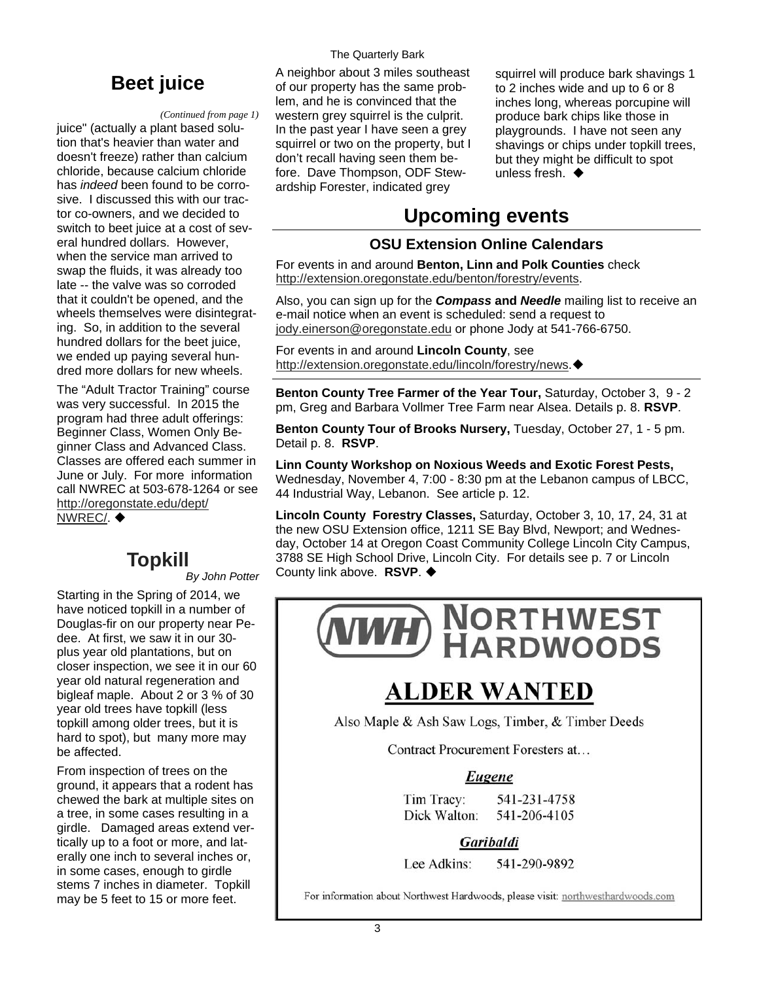#### *(Continued from page 1)*

juice" (actually a plant based solution that's heavier than water and doesn't freeze) rather than calcium chloride, because calcium chloride has *indeed* been found to be corrosive. I discussed this with our tractor co-owners, and we decided to switch to beet juice at a cost of several hundred dollars. However, when the service man arrived to swap the fluids, it was already too late -- the valve was so corroded that it couldn't be opened, and the wheels themselves were disintegrating. So, in addition to the several hundred dollars for the beet juice, we ended up paying several hundred more dollars for new wheels.

The "Adult Tractor Training" course was very successful. In 2015 the program had three adult offerings: Beginner Class, Women Only Beginner Class and Advanced Class. Classes are offered each summer in June or July. For more information call NWREC at 503-678-1264 or see [http://oregonstate.edu/dept/](http://oregonstate.edu/dept/NWREC/) [NWREC/](http://oregonstate.edu/dept/NWREC/). ♦

*By John Potter* 

Starting in the Spring of 2014, we have noticed topkill in a number of Douglas-fir on our property near Pedee. At first, we saw it in our 30 plus year old plantations, but on closer inspection, we see it in our 60 year old natural regeneration and bigleaf maple. About 2 or 3 % of 30 year old trees have topkill (less topkill among older trees, but it is hard to spot), but many more may be affected.

From inspection of trees on the ground, it appears that a rodent has chewed the bark at multiple sites on a tree, in some cases resulting in a girdle. Damaged areas extend vertically up to a foot or more, and laterally one inch to several inches or, in some cases, enough to girdle stems 7 inches in diameter. Topkill may be 5 feet to 15 or more feet.

#### The Quarterly Bark

**Beet juice**<br> **A** neighbor about 3 miles southeast<br>
of our property has the same problem, and he is convinced that the western grey squirrel is the culprit. In the past year I have seen a grey squirrel or two on the property, but I don't recall having seen them before. Dave Thompson, ODF Stewardship Forester, indicated grey

squirrel will produce bark shavings 1 to 2 inches wide and up to 6 or 8 inches long, whereas porcupine will produce bark chips like those in playgrounds. I have not seen any shavings or chips under topkill trees, but they might be difficult to spot unless fresh. ♦

### **Upcoming events**

#### **OSU Extension Online Calendars**

For events in and around **Benton, Linn and Polk Counties** check [http://extension.oregonstate.edu/benton/forestry/events.](http://extension.oregonstate.edu/benton/forestry/events)

Also, you can sign up for the *Compass* **and** *Needle* mailing list to receive an e-mail notice when an event is scheduled: send a request to [jody.einerson@oregonstate.edu](mailto:jody.einerson@oregonstate.edu) or phone Jody at 541-766-6750.

For events in and around **Lincoln County**, see [http://extension.oregonstate.edu/lincoln/forestry/news.](http://extension.oregonstate.edu/lincoln/forestry/news)

**Benton County Tree Farmer of the Year Tour,** Saturday, October 3, 9 - 2 pm, Greg and Barbara Vollmer Tree Farm near Alsea. Details p. 8. **RSVP**.

**Benton County Tour of Brooks Nursery,** Tuesday, October 27, 1 - 5 pm. Detail p. 8. **RSVP**.

**Linn County Workshop on Noxious Weeds and Exotic Forest Pests,**  Wednesday, November 4, 7:00 - 8:30 pm at the Lebanon campus of LBCC, 44 Industrial Way, Lebanon. See article p. 12.

**Lincoln County Forestry Classes,** Saturday, October 3, 10, 17, 24, 31 at the new OSU Extension office, 1211 SE Bay Blvd, Newport; and Wednesday, October 14 at Oregon Coast Community College Lincoln City Campus, **Topkill** 3788 SE High School Drive, Lincoln City. For details see p. 7 or Lincoln By John Potter County link above. RSVP. ♦



## **ALDER WANTED**

Also Maple & Ash Saw Logs, Timber, & Timber Deeds

Contract Procurement Foresters at...

#### Eugene

Tim Tracy: 541-231-4758 Dick Walton: 541-206-4105

#### Garibaldi

Lee Adkins: 541-290-9892

For information about Northwest Hardwoods, please visit: northwesthardwoods.com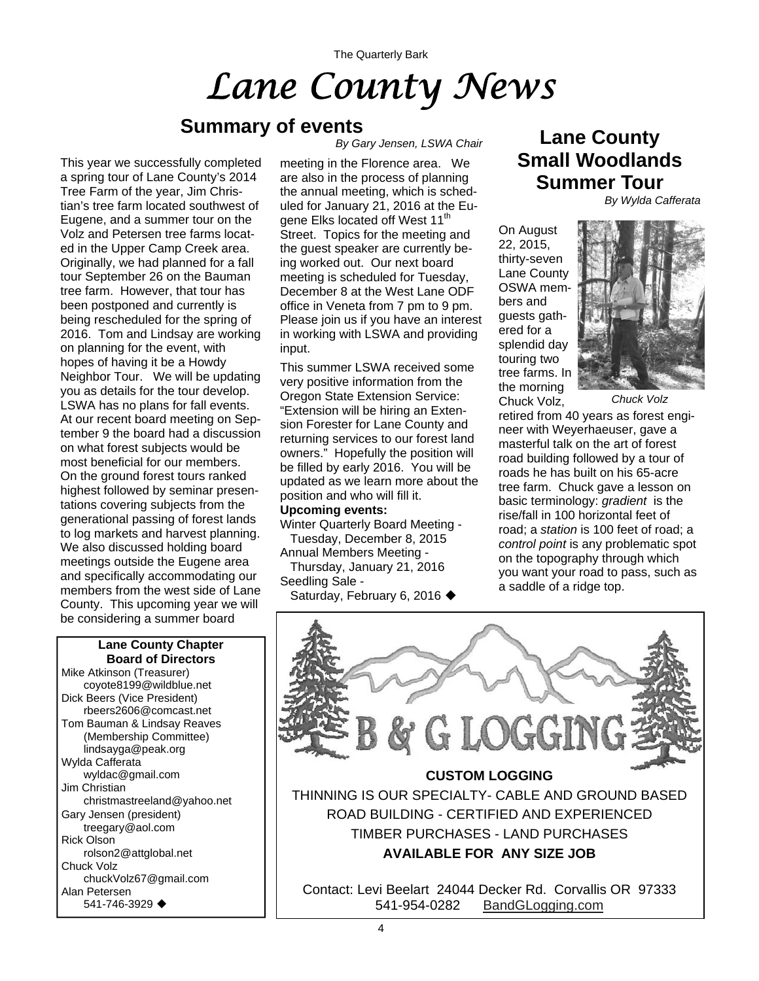The Quarterly Bark

# *Lane County News*

### **Summary of events**

This year we successfully completed a spring tour of Lane County's 2014 Tree Farm of the year, Jim Christian's tree farm located southwest of Eugene, and a summer tour on the Volz and Petersen tree farms located in the Upper Camp Creek area. Originally, we had planned for a fall tour September 26 on the Bauman tree farm. However, that tour has been postponed and currently is being rescheduled for the spring of 2016. Tom and Lindsay are working on planning for the event, with hopes of having it be a Howdy Neighbor Tour. We will be updating you as details for the tour develop. LSWA has no plans for fall events. At our recent board meeting on September 9 the board had a discussion on what forest subjects would be most beneficial for our members. On the ground forest tours ranked highest followed by seminar presentations covering subjects from the generational passing of forest lands to log markets and harvest planning. We also discussed holding board meetings outside the Eugene area and specifically accommodating our members from the west side of Lane County. This upcoming year we will be considering a summer board

#### **Lane County Chapter Board of Directors**

Mike Atkinson (Treasurer) coyote8199@wildblue.net Dick Beers (Vice President) rbeers2606@comcast.net Tom Bauman & Lindsay Reaves (Membership Committee) lindsayga@peak.org Wylda Cafferata wyldac@gmail.com Jim Christian christmastreeland@yahoo.net Gary Jensen (president) treegary@aol.com Rick Olson rolson2@attglobal.net Chuck Volz chuckVolz67@gmail.com Alan Petersen 541-746-3929

*By Gary Jensen, LSWA Chair* 

meeting in the Florence area. We are also in the process of planning the annual meeting, which is scheduled for January 21, 2016 at the Eugene Elks located off West 11<sup>th</sup> Street. Topics for the meeting and the guest speaker are currently being worked out. Our next board meeting is scheduled for Tuesday, December 8 at the West Lane ODF office in Veneta from 7 pm to 9 pm. Please join us if you have an interest in working with LSWA and providing input.

This summer LSWA received some very positive information from the Oregon State Extension Service: "Extension will be hiring an Extension Forester for Lane County and returning services to our forest land owners." Hopefully the position will be filled by early 2016. You will be updated as we learn more about the position and who will fill it.

#### **Upcoming events:**

Winter Quarterly Board Meeting - Tuesday, December 8, 2015

Annual Members Meeting -

Thursday, January 21, 2016

Seedling Sale -

Saturday, February 6, 2016 ♦

### **Lane County Small Woodlands Summer Tour**

*By Wylda Cafferata* 

On August 22, 2015, thirty-seven Lane County OSWA members and guests gathered for a splendid day touring two tree farms. In the morning Chuck Volz,



retired from 40 years as forest engineer with Weyerhaeuser, gave a masterful talk on the art of forest road building followed by a tour of roads he has built on his 65-acre tree farm. Chuck gave a lesson on basic terminology: *gradient* is the rise/fall in 100 horizontal feet of road; a *station* is 100 feet of road; a *control point* is any problematic spot on the topography through which you want your road to pass, such as a saddle of a ridge top.

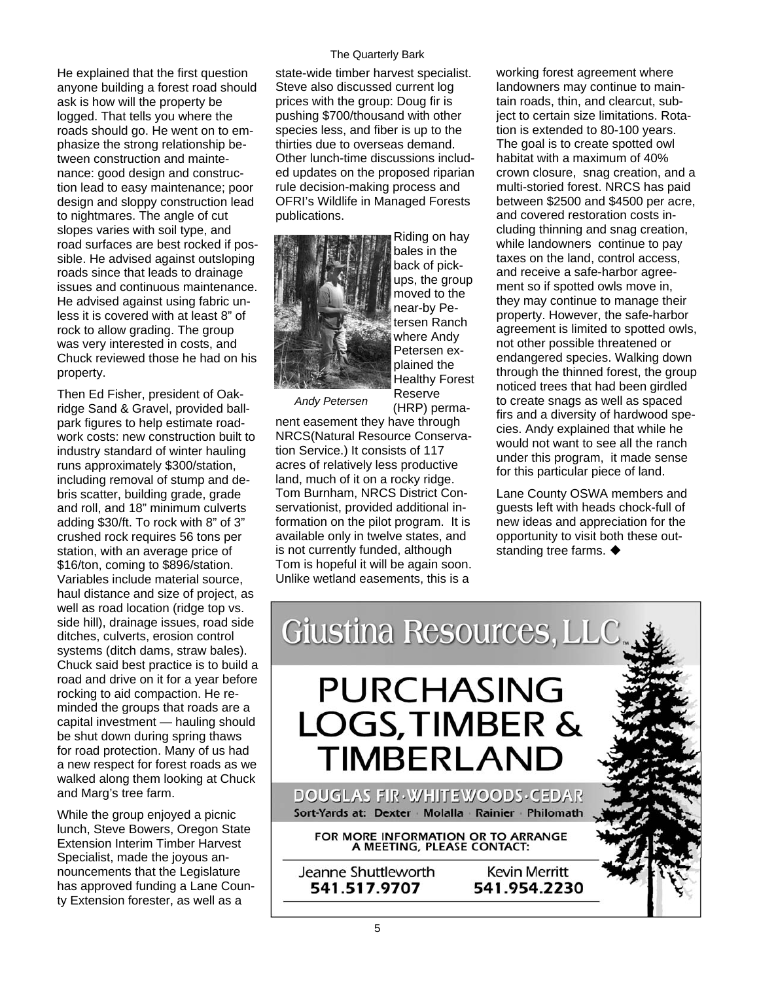He explained that the first question anyone building a forest road should ask is how will the property be logged. That tells you where the roads should go. He went on to emphasize the strong relationship between construction and maintenance: good design and construction lead to easy maintenance; poor design and sloppy construction lead to nightmares. The angle of cut slopes varies with soil type, and road surfaces are best rocked if possible. He advised against outsloping roads since that leads to drainage issues and continuous maintenance. He advised against using fabric unless it is covered with at least 8" of rock to allow grading. The group was very interested in costs, and Chuck reviewed those he had on his property.

Then Ed Fisher, president of Oakridge Sand & Gravel, provided ballpark figures to help estimate roadwork costs: new construction built to industry standard of winter hauling runs approximately \$300/station, including removal of stump and debris scatter, building grade, grade and roll, and 18" minimum culverts adding \$30/ft. To rock with 8" of 3" crushed rock requires 56 tons per station, with an average price of \$16/ton, coming to \$896/station. Variables include material source, haul distance and size of project, as well as road location (ridge top vs. side hill), drainage issues, road side ditches, culverts, erosion control systems (ditch dams, straw bales). Chuck said best practice is to build a road and drive on it for a year before rocking to aid compaction. He reminded the groups that roads are a capital investment — hauling should be shut down during spring thaws for road protection. Many of us had a new respect for forest roads as we walked along them looking at Chuck and Marg's tree farm.

While the group enjoyed a picnic lunch, Steve Bowers, Oregon State Extension Interim Timber Harvest Specialist, made the joyous announcements that the Legislature has approved funding a Lane County Extension forester, as well as a

#### The Quarterly Bark

state-wide timber harvest specialist. Steve also discussed current log prices with the group: Doug fir is pushing \$700/thousand with other species less, and fiber is up to the thirties due to overseas demand. Other lunch-time discussions included updates on the proposed riparian rule decision-making process and OFRI's Wildlife in Managed Forests publications.



Riding on hay bales in the back of pickups, the group moved to the near-by Petersen Ranch where Andy Petersen explained the Healthy Forest Reserve (HRP) perma-

*Andy Petersen* 

nent easement they have through NRCS(Natural Resource Conservation Service.) It consists of 117 acres of relatively less productive land, much of it on a rocky ridge. Tom Burnham, NRCS District Conservationist, provided additional information on the pilot program. It is available only in twelve states, and is not currently funded, although Tom is hopeful it will be again soon. Unlike wetland easements, this is a

working forest agreement where landowners may continue to maintain roads, thin, and clearcut, subject to certain size limitations. Rotation is extended to 80-100 years. The goal is to create spotted owl habitat with a maximum of 40% crown closure, snag creation, and a multi-storied forest. NRCS has paid between \$2500 and \$4500 per acre, and covered restoration costs including thinning and snag creation, while landowners continue to pay taxes on the land, control access, and receive a safe-harbor agreement so if spotted owls move in, they may continue to manage their property. However, the safe-harbor agreement is limited to spotted owls, not other possible threatened or endangered species. Walking down through the thinned forest, the group noticed trees that had been girdled to create snags as well as spaced firs and a diversity of hardwood species. Andy explained that while he would not want to see all the ranch under this program, it made sense for this particular piece of land.

Lane County OSWA members and guests left with heads chock-full of new ideas and appreciation for the opportunity to visit both these outstanding tree farms.  $\blacklozenge$ 

Giustina Resources, LLC **PURCHASING LOGS, TIMBER & TIMBERLAND** DOUGLAS FIR WHITEWOODS CEDAR

Sort-Yards at: Dexter Molalla Rainier Philomath

FOR MORE INFORMATION OR TO ARRANGE A MEETING, PLEASE CONTACT:

Jeanne Shuttleworth 541.517.9707

**Kevin Merritt** 541.954.2230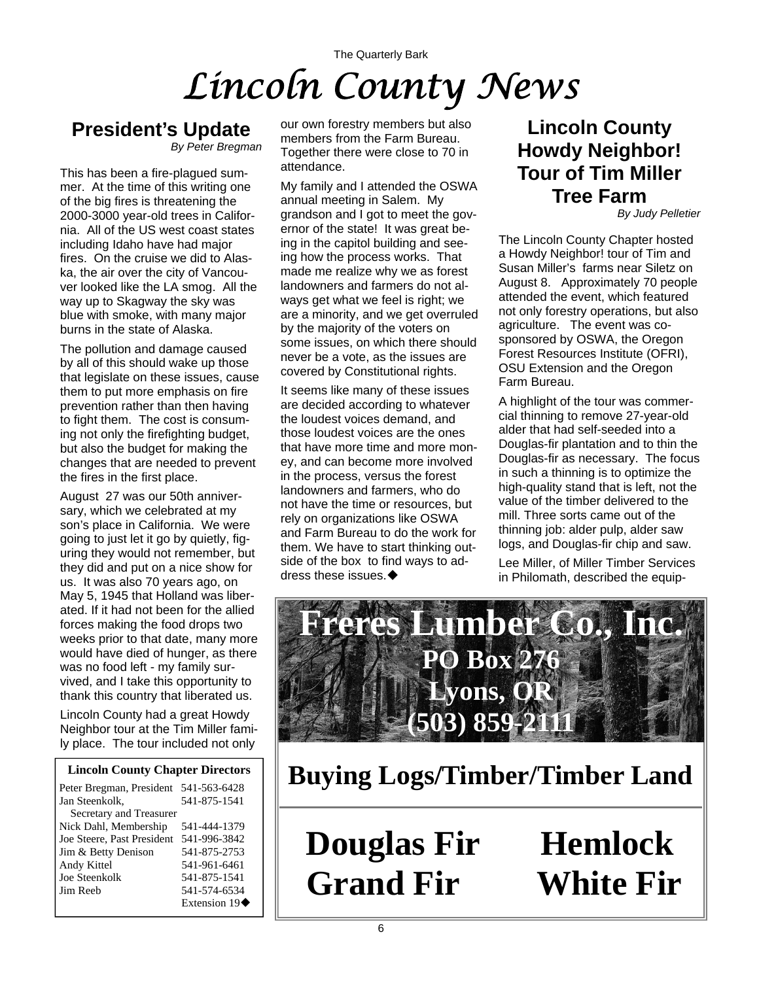## The Quarterly Bark *Lincoln County News*

## **President's Update**

*By Peter Bregman* 

This has been a fire-plagued summer. At the time of this writing one of the big fires is threatening the 2000-3000 year-old trees in California. All of the US west coast states including Idaho have had major fires. On the cruise we did to Alaska, the air over the city of Vancouver looked like the LA smog. All the way up to Skagway the sky was blue with smoke, with many major burns in the state of Alaska.

The pollution and damage caused by all of this should wake up those that legislate on these issues, cause them to put more emphasis on fire prevention rather than then having to fight them. The cost is consuming not only the firefighting budget, but also the budget for making the changes that are needed to prevent the fires in the first place.

August 27 was our 50th anniversary, which we celebrated at my son's place in California. We were going to just let it go by quietly, figuring they would not remember, but they did and put on a nice show for us. It was also 70 years ago, on May 5, 1945 that Holland was liberated. If it had not been for the allied forces making the food drops two weeks prior to that date, many more would have died of hunger, as there was no food left - my family survived, and I take this opportunity to thank this country that liberated us.

Lincoln County had a great Howdy Neighbor tour at the Tim Miller family place. The tour included not only

#### **Lincoln County Chapter Directors**

| Peter Bregman, President 541-563-6428 |              |
|---------------------------------------|--------------|
| Jan Steenkolk,                        | 541-875-1541 |
| Secretary and Treasurer               |              |
| Nick Dahl, Membership                 | 541-444-1379 |
| Joe Steere, Past President            | 541-996-3842 |
| Jim & Betty Denison                   | 541-875-2753 |
| Andy Kittel                           | 541-961-6461 |
| Joe Steenkolk                         | 541-875-1541 |
| Jim Reeb                              | 541-574-6534 |
|                                       | Extension 19 |

our own forestry members but also members from the Farm Bureau. Together there were close to 70 in attendance.

My family and I attended the OSWA annual meeting in Salem. My grandson and I got to meet the governor of the state! It was great being in the capitol building and seeing how the process works. That made me realize why we as forest landowners and farmers do not always get what we feel is right; we are a minority, and we get overruled by the majority of the voters on some issues, on which there should never be a vote, as the issues are covered by Constitutional rights.

It seems like many of these issues are decided according to whatever the loudest voices demand, and those loudest voices are the ones that have more time and more money, and can become more involved in the process, versus the forest landowners and farmers, who do not have the time or resources, but rely on organizations like OSWA and Farm Bureau to do the work for them. We have to start thinking outside of the box to find ways to address these issues.

### **Lincoln County Howdy Neighbor! Tour of Tim Miller Tree Farm**

*By Judy Pelletier* 

The Lincoln County Chapter hosted a Howdy Neighbor! tour of Tim and Susan Miller's farms near Siletz on August 8. Approximately 70 people attended the event, which featured not only forestry operations, but also agriculture. The event was cosponsored by OSWA, the Oregon Forest Resources Institute (OFRI), OSU Extension and the Oregon Farm Bureau.

A highlight of the tour was commercial thinning to remove 27-year-old alder that had self-seeded into a Douglas-fir plantation and to thin the Douglas-fir as necessary. The focus in such a thinning is to optimize the high-quality stand that is left, not the value of the timber delivered to the mill. Three sorts came out of the thinning job: alder pulp, alder saw logs, and Douglas-fir chip and saw.

Lee Miller, of Miller Timber Services in Philomath, described the equip-



**Buying Logs/Timber/Timber Land**

**Douglas Fir Hemlock Grand Fir White Fir**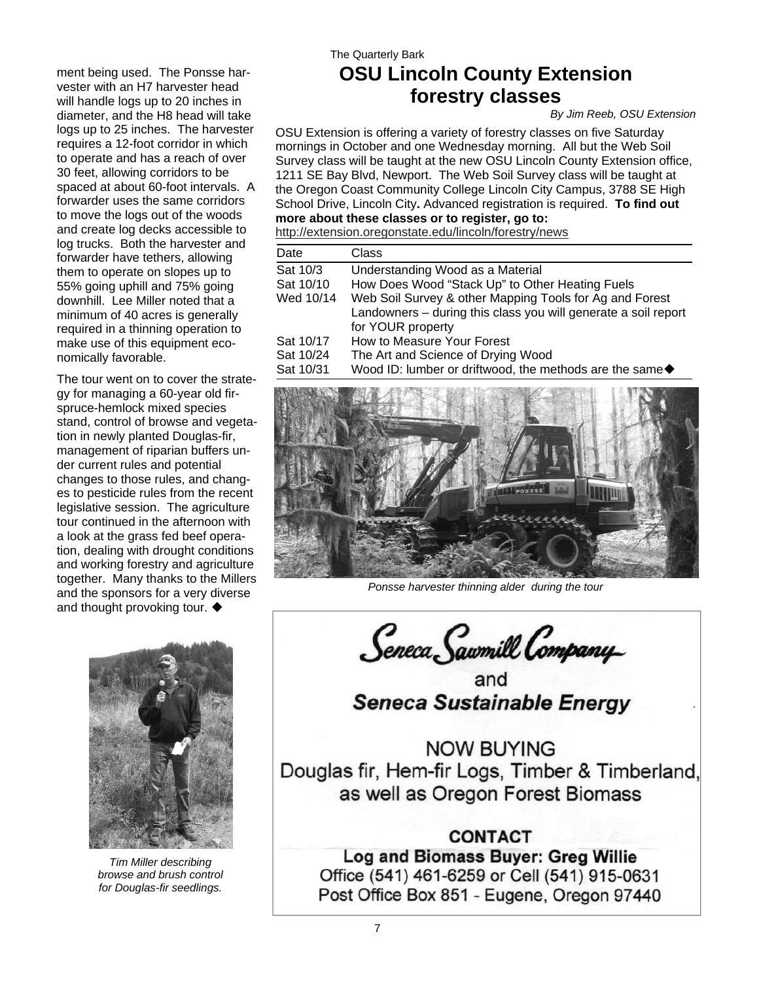ment being used. The Ponsse harvester with an H7 harvester head will handle logs up to 20 inches in diameter, and the H8 head will take logs up to 25 inches. The harvester requires a 12-foot corridor in which to operate and has a reach of over 30 feet, allowing corridors to be spaced at about 60-foot intervals. A forwarder uses the same corridors to move the logs out of the woods and create log decks accessible to log trucks. Both the harvester and forwarder have tethers, allowing them to operate on slopes up to 55% going uphill and 75% going downhill. Lee Miller noted that a minimum of 40 acres is generally required in a thinning operation to make use of this equipment economically favorable.

The tour went on to cover the strategy for managing a 60-year old firspruce-hemlock mixed species stand, control of browse and vegetation in newly planted Douglas-fir, management of riparian buffers under current rules and potential changes to those rules, and changes to pesticide rules from the recent legislative session. The agriculture tour continued in the afternoon with a look at the grass fed beef operation, dealing with drought conditions and working forestry and agriculture together. Many thanks to the Millers and the sponsors for a very diverse and thought provoking tour.  $\blacklozenge$ 

*Tim Miller describing browse and brush control for Douglas-fir seedlings.* 

### The Quarterly Bark **OSU Lincoln County Extension forestry classes**

#### *By Jim Reeb, OSU Extension*

OSU Extension is offering a variety of forestry classes on five Saturday mornings in October and one Wednesday morning. All but the Web Soil Survey class will be taught at the new OSU Lincoln County Extension office, 1211 SE Bay Blvd, Newport. The Web Soil Survey class will be taught at the Oregon Coast Community College Lincoln City Campus, 3788 SE High School Drive, Lincoln City**.** Advanced registration is required. **To find out more about these classes or to register, go to:** 

<http://extension.oregonstate.edu/lincoln/forestry/news>

| Date                   | Class                                                                                                                                          |
|------------------------|------------------------------------------------------------------------------------------------------------------------------------------------|
| Sat 10/3               | Understanding Wood as a Material                                                                                                               |
| Sat 10/10              | How Does Wood "Stack Up" to Other Heating Fuels                                                                                                |
| Wed 10/14              | Web Soil Survey & other Mapping Tools for Ag and Forest<br>Landowners - during this class you will generate a soil report<br>for YOUR property |
| Sat 10/17<br>Sat 10/24 | How to Measure Your Forest<br>The Art and Science of Drying Wood                                                                               |
| Sat 10/31              | Wood ID: lumber or driftwood, the methods are the same◆                                                                                        |



*Ponsse harvester thinning alder during the tour* 

Seneca Sawmill Company

and Seneca Sustainable Energy

**NOW BUYING** Douglas fir, Hem-fir Logs, Timber & Timberland, as well as Oregon Forest Biomass

#### **CONTACT**

Log and Biomass Buyer: Greg Willie Office (541) 461-6259 or Cell (541) 915-0631 Post Office Box 851 - Eugene, Oregon 97440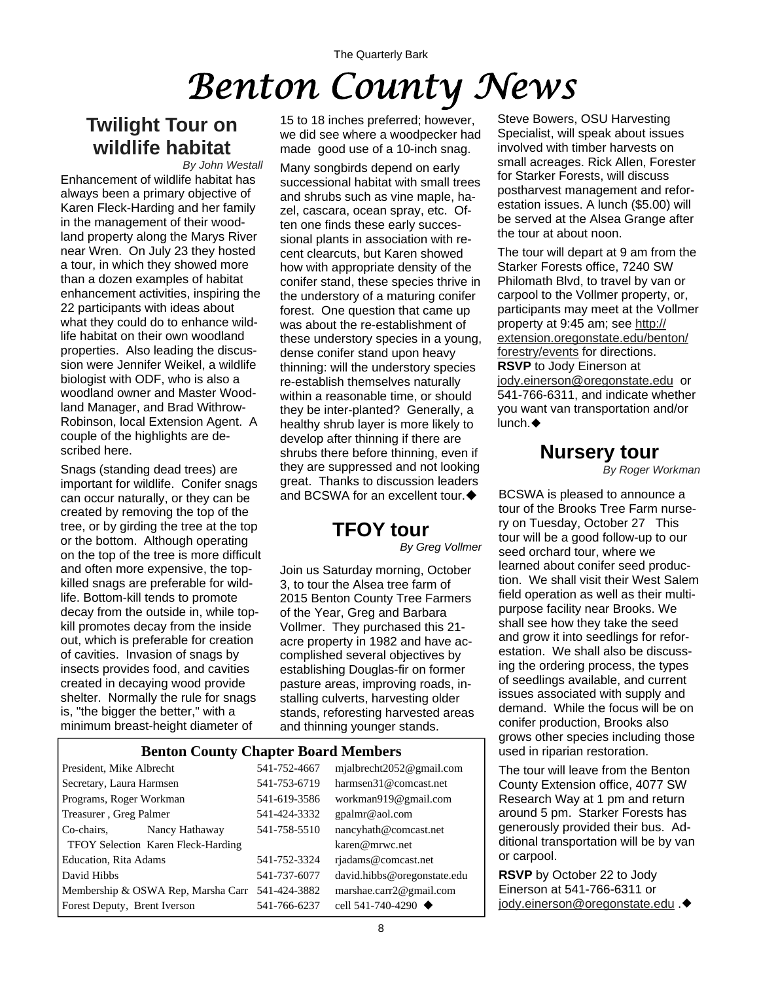# *Benton County News*

### **Twilight Tour on wildlife habitat**

Enhancement of wildlife habitat has always been a primary objective of Karen Fleck-Harding and her family in the management of their woodland property along the Marys River near Wren. On July 23 they hosted a tour, in which they showed more than a dozen examples of habitat enhancement activities, inspiring the 22 participants with ideas about what they could do to enhance wildlife habitat on their own woodland properties. Also leading the discussion were Jennifer Weikel, a wildlife biologist with ODF, who is also a woodland owner and Master Woodland Manager, and Brad Withrow-Robinson, local Extension Agent. A couple of the highlights are described here. *By John Westall*

Snags (standing dead trees) are important for wildlife. Conifer snags can occur naturally, or they can be created by removing the top of the tree, or by girding the tree at the top or the bottom. Although operating on the top of the tree is more difficult and often more expensive, the topkilled snags are preferable for wildlife. Bottom-kill tends to promote decay from the outside in, while topkill promotes decay from the inside out, which is preferable for creation of cavities. Invasion of snags by insects provides food, and cavities created in decaying wood provide shelter. Normally the rule for snags is, "the bigger the better," with a minimum breast-height diameter of

15 to 18 inches preferred; however, we did see where a woodpecker had made good use of a 10-inch snag.

Many songbirds depend on early successional habitat with small trees and shrubs such as vine maple, hazel, cascara, ocean spray, etc. Often one finds these early successional plants in association with recent clearcuts, but Karen showed how with appropriate density of the conifer stand, these species thrive in the understory of a maturing conifer forest. One question that came up was about the re-establishment of these understory species in a young, dense conifer stand upon heavy thinning: will the understory species re-establish themselves naturally within a reasonable time, or should they be inter-planted? Generally, a healthy shrub layer is more likely to develop after thinning if there are shrubs there before thinning, even if they are suppressed and not looking great. Thanks to discussion leaders and BCSWA for an excellent tour.  $\blacklozenge$ 

### **TFOY tour**

*By Greg Vollmer* 

Join us Saturday morning, October 3, to tour the Alsea tree farm of 2015 Benton County Tree Farmers of the Year, Greg and Barbara Vollmer. They purchased this 21 acre property in 1982 and have accomplished several objectives by establishing Douglas-fir on former pasture areas, improving roads, installing culverts, harvesting older stands, reforesting harvested areas and thinning younger stands.

#### **Benton County Chapter Board Members**

| President, Mike Albrecht                        | 541-752-4667 | mjalbrecht2052@gmail.com          |
|-------------------------------------------------|--------------|-----------------------------------|
| Secretary, Laura Harmsen                        | 541-753-6719 | harmsen31@comcast.net             |
| Programs, Roger Workman                         | 541-619-3586 | workman919@gmail.com              |
| Treasurer, Greg Palmer                          | 541-424-3332 | gpalmr@aol.com                    |
| Co-chairs,<br>Nancy Hathaway                    | 541-758-5510 | nancyhath@comcast.net             |
| TFOY Selection Karen Fleck-Harding              |              | karen@mrwc.net                    |
| <b>Education, Rita Adams</b>                    | 541-752-3324 | riadams@comcast.net               |
| David Hibbs                                     | 541-737-6077 | david.hibbs@oregonstate.edu       |
| Membership & OSWA Rep, Marsha Carr 541-424-3882 |              | marshae.carr2@gmail.com           |
| Forest Deputy, Brent Iverson                    | 541-766-6237 | cell 541-740-4290 $\triangleleft$ |

Steve Bowers, OSU Harvesting Specialist, will speak about issues involved with timber harvests on small acreages. Rick Allen, Forester for Starker Forests, will discuss postharvest management and reforestation issues. A lunch (\$5.00) will be served at the Alsea Grange after the tour at about noon.

The tour will depart at 9 am from the Starker Forests office, 7240 SW Philomath Blvd, to travel by van or carpool to the Vollmer property, or, participants may meet at the Vollmer property at 9:45 am; see [http://](http://extension.oregonstate.edu/benton/forestry/events) [extension.oregonstate.edu/benton/](http://extension.oregonstate.edu/benton/forestry/events) [forestry/events](http://extension.oregonstate.edu/benton/forestry/events) for directions. **RSVP** to Jody Einerson at [jody.einerson@oregonstate.edu](mailto:jody.einerson@oregonstate.edu) or 541-766-6311, and indicate whether you want van transportation and/or lunch.

### **Nursery tour**

*By Roger Workman*

BCSWA is pleased to announce a tour of the Brooks Tree Farm nursery on Tuesday, October 27 This tour will be a good follow-up to our seed orchard tour, where we learned about conifer seed production. We shall visit their West Salem field operation as well as their multipurpose facility near Brooks. We shall see how they take the seed and grow it into seedlings for reforestation. We shall also be discussing the ordering process, the types of seedlings available, and current issues associated with supply and demand. While the focus will be on conifer production, Brooks also grows other species including those used in riparian restoration.

The tour will leave from the Benton County Extension office, 4077 SW Research Way at 1 pm and return around 5 pm. Starker Forests has generously provided their bus. Additional transportation will be by van or carpool.

**RSVP** by October 22 to Jody Einerson at 541-766-6311 or [jody.einerson@oregonstate.edu](mailto:jody.einerson@oregonstate.edu) .◆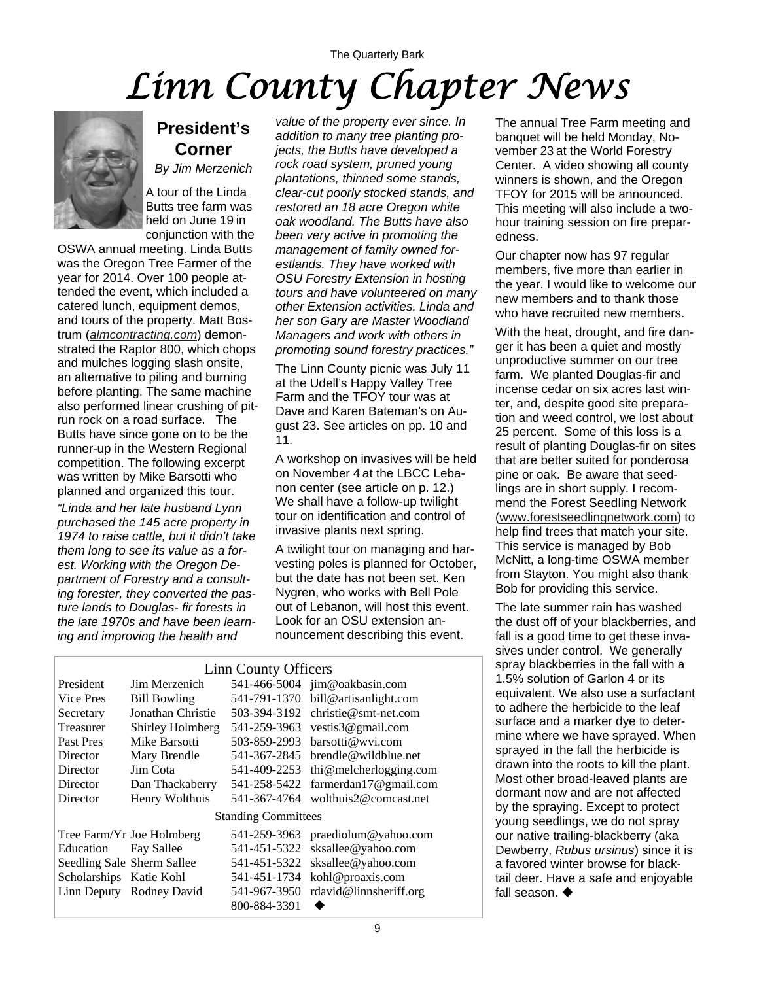## The Quarterly Bark *Linn County Chapter News*



### **President's Corner**

*By Jim Merzenich*

A tour of the Linda Butts tree farm was held on June 19 in conjunction with the

OSWA annual meeting. Linda Butts was the Oregon Tree Farmer of the year for 2014. Over 100 people attended the event, which included a catered lunch, equipment demos, and tours of the property. Matt Bostrum (*[almcontracting.com](http://www.almcontracting.com)*) demonstrated the Raptor 800, which chops and mulches logging slash onsite, an alternative to piling and burning before planting. The same machine also performed linear crushing of pitrun rock on a road surface. The Butts have since gone on to be the runner-up in the Western Regional competition. The following excerpt was written by Mike Barsotti who planned and organized this tour.

*"Linda and her late husband Lynn purchased the 145 acre property in 1974 to raise cattle, but it didn't take them long to see its value as a forest. Working with the Oregon Department of Forestry and a consulting forester, they converted the pasture lands to Douglas- fir forests in the late 1970s and have been learning and improving the health and* 

*value of the property ever since. In addition to many tree planting projects, the Butts have developed a rock road system, pruned young plantations, thinned some stands, clear-cut poorly stocked stands, and restored an 18 acre Oregon white oak woodland. The Butts have also been very active in promoting the management of family owned forestlands. They have worked with OSU Forestry Extension in hosting tours and have volunteered on many other Extension activities. Linda and her son Gary are Master Woodland Managers and work with others in promoting sound forestry practices."* 

The Linn County picnic was July 11 at the Udell's Happy Valley Tree Farm and the TFOY tour was at Dave and Karen Bateman's on August 23. See articles on pp. 10 and 11.

A workshop on invasives will be held on November 4 at the LBCC Lebanon center (see article on p. 12.) We shall have a follow-up twilight tour on identification and control of invasive plants next spring.

A twilight tour on managing and harvesting poles is planned for October, but the date has not been set. Ken Nygren, who works with Bell Pole out of Lebanon, will host this event. Look for an OSU extension announcement describing this event.

| <b>Linn County Officers</b> |                            |              |                                    |  |
|-----------------------------|----------------------------|--------------|------------------------------------|--|
| President                   | Jim Merzenich              |              | 541-466-5004 jim@oakbasin.com      |  |
| Vice Pres                   | <b>Bill Bowling</b>        | 541-791-1370 | bill@artisanlight.com              |  |
| Secretary                   | Jonathan Christie          | 503-394-3192 | $christie@smt-net.com$             |  |
| Treasurer                   | Shirley Holmberg           | 541-259-3963 | vestis3@gmail.com                  |  |
| Past Pres                   | Mike Barsotti              | 503-859-2993 | barsotti@wvi.com                   |  |
| Director                    | Mary Brendle               | 541-367-2845 | brendle@wildblue.net               |  |
| Director                    | Jim Cota                   | 541-409-2253 | thi@melcherlogging.com             |  |
| Director                    | Dan Thackaberry            |              | 541-258-5422 farmerdan17@gmail.com |  |
| Director                    | Henry Wolthuis             |              | 541-367-4764 wolthuis2@comcast.net |  |
| <b>Standing Committees</b>  |                            |              |                                    |  |
|                             | Tree Farm/Yr Joe Holmberg  | 541-259-3963 | praediolum@yahoo.com               |  |
| Education                   | Fay Sallee                 | 541-451-5322 | sksallee@yahoo.com                 |  |
|                             | Seedling Sale Sherm Sallee | 541-451-5322 | sksallee@yahoo.com                 |  |
| Scholarships Katie Kohl     |                            | 541-451-1734 | kohl@proaxis.com                   |  |
|                             | Linn Deputy Rodney David   | 541-967-3950 | rdavid@linnsheriff.org             |  |
|                             |                            | 800-884-3391 |                                    |  |

The annual Tree Farm meeting and banquet will be held Monday, November 23 at the World Forestry Center. A video showing all county winners is shown, and the Oregon TFOY for 2015 will be announced. This meeting will also include a twohour training session on fire preparedness.

Our chapter now has 97 regular members, five more than earlier in the year. I would like to welcome our new members and to thank those who have recruited new members.

With the heat, drought, and fire danger it has been a quiet and mostly unproductive summer on our tree farm. We planted Douglas-fir and incense cedar on six acres last winter, and, despite good site preparation and weed control, we lost about 25 percent. Some of this loss is a result of planting Douglas-fir on sites that are better suited for ponderosa pine or oak. Be aware that seedlings are in short supply. I recommend the Forest Seedling Network ([www.forestseedlingnetwork.com\)](http://www.forestseedlingnetwork.com) to help find trees that match your site. This service is managed by Bob McNitt, a long-time OSWA member from Stayton. You might also thank Bob for providing this service.

The late summer rain has washed the dust off of your blackberries, and fall is a good time to get these invasives under control. We generally spray blackberries in the fall with a 1.5% solution of Garlon 4 or its equivalent. We also use a surfactant to adhere the herbicide to the leaf surface and a marker dye to determine where we have sprayed. When sprayed in the fall the herbicide is drawn into the roots to kill the plant. Most other broad-leaved plants are dormant now and are not affected by the spraying. Except to protect young seedlings, we do not spray our native trailing-blackberry (aka Dewberry, *Rubus ursinus*) since it is a favored winter browse for blacktail deer. Have a safe and enjoyable fall season.  $\blacklozenge$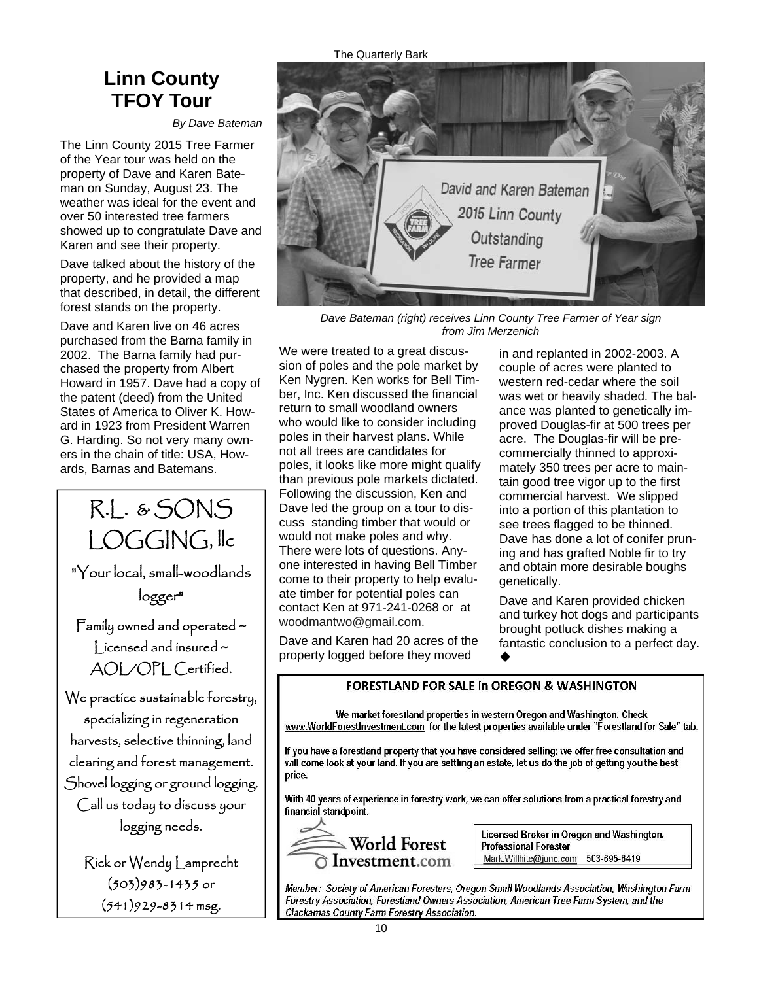### **Linn County TFOY Tour**

*By Dave Bateman*

The Linn County 2015 Tree Farmer of the Year tour was held on the property of Dave and Karen Bateman on Sunday, August 23. The weather was ideal for the event and over 50 interested tree farmers showed up to congratulate Dave and Karen and see their property.

Dave talked about the history of the property, and he provided a map that described, in detail, the different forest stands on the property.

Dave and Karen live on 46 acres purchased from the Barna family in 2002. The Barna family had purchased the property from Albert Howard in 1957. Dave had a copy of the patent (deed) from the United States of America to Oliver K. Howard in 1923 from President Warren G. Harding. So not very many owners in the chain of title: USA, Howards, Barnas and Batemans.

LOGGING, llc "Your local, small-woodlands logger"

R.L. & SONS

Family owned and operated ~  $|$  icensed and insured  $\sim$ AOL/OPL Certified.

We practice sustainable forestry, specializing in regeneration harvests, selective thinning, land clearing and forest management. Shovel logging or ground logging. Call us today to discuss your logging needs.

Rick or Wendy Lamprecht (503)983-1435 or (541)929-8314 msg.

The Quarterly Bark



*Dave Bateman (right) receives Linn County Tree Farmer of Year sign from Jim Merzenich* 

We were treated to a great discussion of poles and the pole market by Ken Nygren. Ken works for Bell Timber, Inc. Ken discussed the financial return to small woodland owners who would like to consider including poles in their harvest plans. While not all trees are candidates for poles, it looks like more might qualify than previous pole markets dictated. Following the discussion, Ken and Dave led the group on a tour to discuss standing timber that would or would not make poles and why. There were lots of questions. Anyone interested in having Bell Timber come to their property to help evaluate timber for potential poles can contact Ken at 971-241-0268 or at [woodmantwo@gmail.com](mailto:woodmantwo@gmail.com).

Dave and Karen had 20 acres of the property logged before they moved

in and replanted in 2002-2003. A couple of acres were planted to western red-cedar where the soil was wet or heavily shaded. The balance was planted to genetically improved Douglas-fir at 500 trees per acre. The Douglas-fir will be precommercially thinned to approximately 350 trees per acre to maintain good tree vigor up to the first commercial harvest. We slipped into a portion of this plantation to see trees flagged to be thinned. Dave has done a lot of conifer pruning and has grafted Noble fir to try and obtain more desirable boughs genetically.

Dave and Karen provided chicken and turkey hot dogs and participants brought potluck dishes making a fantastic conclusion to a perfect day.  $\blacklozenge$ 

#### **FORESTLAND FOR SALE in OREGON & WASHINGTON**

We market forestland properties in western Oregon and Washington. Check www.WorldForestInvestment.com for the latest properties available under "Forestland for Sale" tab.

If you have a forestland property that you have considered selling; we offer free consultation and will come look at your land. If you are settling an estate, let us do the job of getting you the best price.

With 40 years of experience in forestry work, we can offer solutions from a practical forestry and financial standpoint.



Licensed Broker in Oregon and Washington. **Professional Forester** Mark.Willhite@juno.com 503-695-6419

Member: Society of American Foresters, Oregon Small Woodlands Association, Washington Farm Forestry Association, Forestland Owners Association, American Tree Farm System, and the Clackamas County Farm Forestry Association.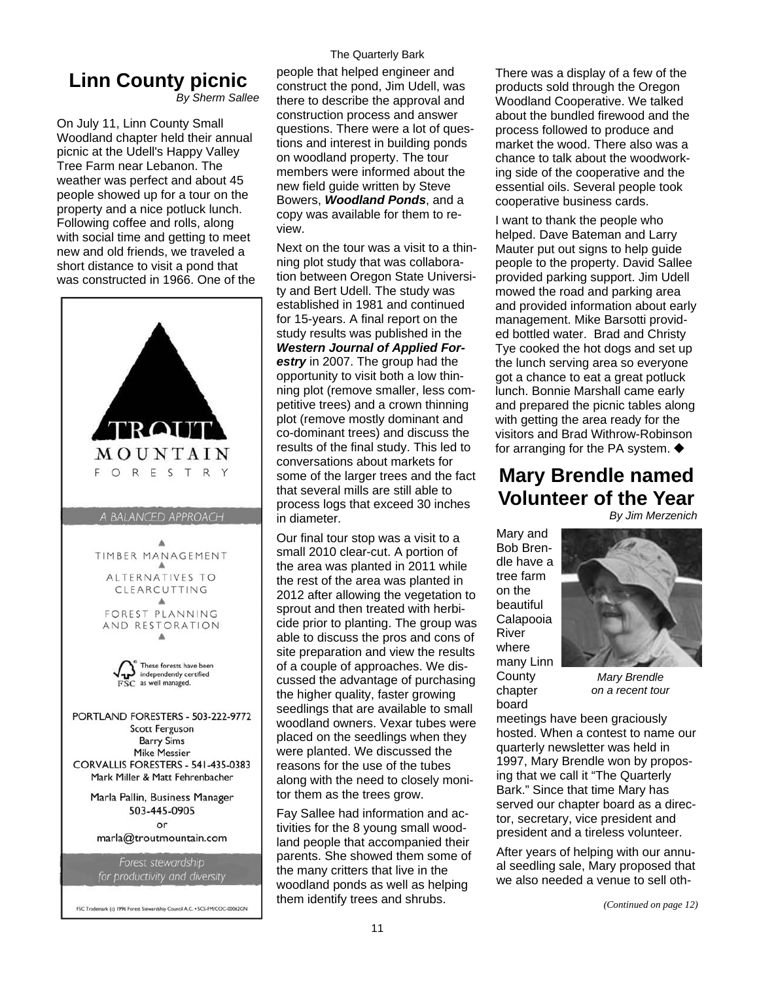## **Linn County picnic**

*By Sherm Sallee* 

On July 11, Linn County Small Woodland chapter held their annual picnic at the Udell's Happy Valley Tree Farm near Lebanon. The weather was perfect and about 45 people showed up for a tour on the property and a nice potluck lunch. Following coffee and rolls, along with social time and getting to meet new and old friends, we traveled a short distance to visit a pond that was constructed in 1966. One of the



FSC Trademark (c) 1996 Forest Stewardship Council A.C. . SCS-FM/COC-00062GN

#### The Quarterly Bark

people that helped engineer and construct the pond, Jim Udell, was there to describe the approval and construction process and answer questions. There were a lot of questions and interest in building ponds on woodland property. The tour members were informed about the new field guide written by Steve Bowers, *Woodland Ponds*, and a copy was available for them to review.

Next on the tour was a visit to a thinning plot study that was collaboration between Oregon State University and Bert Udell. The study was established in 1981 and continued for 15-years. A final report on the study results was published in the *Western Journal of Applied Forestry* in 2007. The group had the opportunity to visit both a low thinning plot (remove smaller, less competitive trees) and a crown thinning plot (remove mostly dominant and co-dominant trees) and discuss the results of the final study. This led to conversations about markets for some of the larger trees and the fact that several mills are still able to process logs that exceed 30 inches in diameter.

Our final tour stop was a visit to a small 2010 clear-cut. A portion of the area was planted in 2011 while the rest of the area was planted in 2012 after allowing the vegetation to sprout and then treated with herbicide prior to planting. The group was able to discuss the pros and cons of site preparation and view the results of a couple of approaches. We discussed the advantage of purchasing the higher quality, faster growing seedlings that are available to small woodland owners. Vexar tubes were placed on the seedlings when they were planted. We discussed the reasons for the use of the tubes along with the need to closely monitor them as the trees grow.

Fay Sallee had information and activities for the 8 young small woodland people that accompanied their parents. She showed them some of the many critters that live in the woodland ponds as well as helping them identify trees and shrubs.

There was a display of a few of the products sold through the Oregon Woodland Cooperative. We talked about the bundled firewood and the process followed to produce and market the wood. There also was a chance to talk about the woodworking side of the cooperative and the essential oils. Several people took cooperative business cards.

I want to thank the people who helped. Dave Bateman and Larry Mauter put out signs to help guide people to the property. David Sallee provided parking support. Jim Udell mowed the road and parking area and provided information about early management. Mike Barsotti provided bottled water. Brad and Christy Tye cooked the hot dogs and set up the lunch serving area so everyone got a chance to eat a great potluck lunch. Bonnie Marshall came early and prepared the picnic tables along with getting the area ready for the visitors and Brad Withrow-Robinson for arranging for the PA system.

### **Mary Brendle named Volunteer of the Year**

*By Jim Merzenich* 

Mary and Bob Brendle have a tree farm on the beautiful Calapooia River where many Linn **County** chapter

board



*Mary Brendle on a recent tour* 

meetings have been graciously hosted. When a contest to name our quarterly newsletter was held in 1997, Mary Brendle won by proposing that we call it "The Quarterly Bark." Since that time Mary has served our chapter board as a director, secretary, vice president and president and a tireless volunteer.

After years of helping with our annual seedling sale, Mary proposed that we also needed a venue to sell oth-

*(Continued on page 12)*